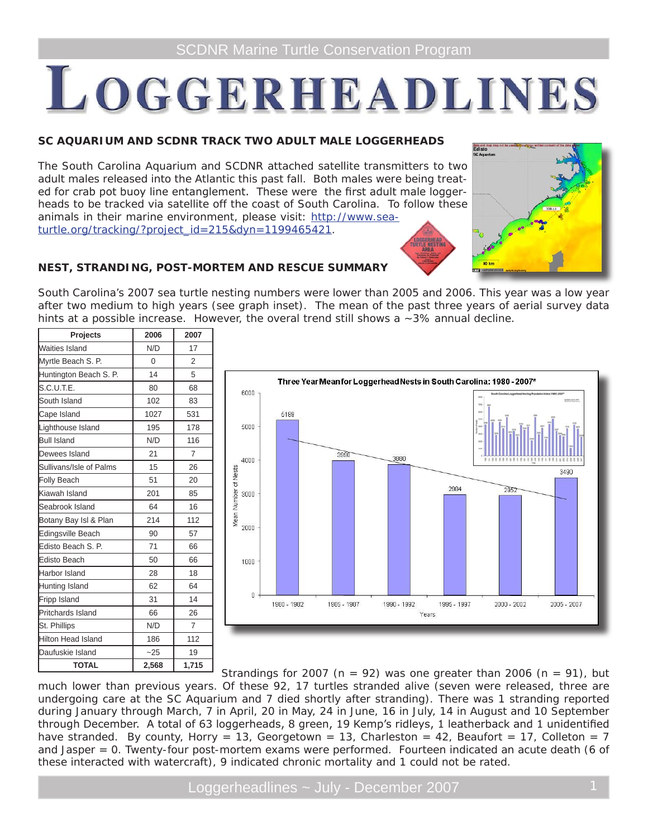# LOGGERHEADLINES

## **SC AQUARIUM AND SCDNR TRACK TWO ADULT MALE LOGGERHEADS**

The South Carolina Aquarium and SCDNR attached satellite transmitters to two adult males released into the Atlantic this past fall. Both males were being treated for crab pot buoy line entanglement. These were the first adult male loggerheads to be tracked via satellite off the coast of South Carolina. To follow these animals in their marine environment, please visit: http://www.seaturtle.org/tracking/?project\_id=215&dyn=1199465421.



## **NEST, STRANDING, POST-MORTEM AND RESCUE SUMMARY**

South Carolina's 2007 sea turtle nesting numbers were lower than 2005 and 2006. This year was a low year after two medium to high years (see graph inset). The mean of the past three years of aerial survey data hints at a possible increase. However, the overal trend still shows a  $\sim$ 3% annual decline.

| <b>Projects</b>           | 2006     | 2007           |
|---------------------------|----------|----------------|
| Waities Island            | N/D      | 17             |
| Myrtle Beach S. P.        | $\Omega$ | $\overline{2}$ |
| Huntington Beach S. P.    | 14       | 5              |
| S.C.U.T.E.                | 80       | 68             |
| South Island              | 102      | 83             |
| Cape Island               | 1027     | 531            |
| Lighthouse Island         | 195      | 178            |
| <b>Bull Island</b>        | N/D      | 116            |
| Dewees Island             | 21       | $\overline{7}$ |
| Sullivans/Isle of Palms   | 15       | 26             |
| <b>Folly Beach</b>        | 51       | 20             |
| Kiawah Island             | 201      | 85             |
| Seabrook Island           | 64       | 16             |
| Botany Bay Isl & Plan     | 214      | 112            |
| <b>Edingsville Beach</b>  | 90       | 57             |
| Edisto Beach S. P.        | 71       | 66             |
| <b>Edisto Beach</b>       | 50       | 66             |
| Harbor Island             | 28       | 18             |
| Hunting Island            | 62       | 64             |
| Fripp Island              | 31       | 14             |
| <b>Pritchards Island</b>  | 66       | 26             |
| St. Phillips              | N/D      | $\overline{7}$ |
| <b>Hilton Head Island</b> | 186      | 112            |
| Daufuskie Island          | $-25$    | 19             |
| <b>TOTAL</b>              | 2,568    | 1,715          |



Strandings for 2007 ( $n = 92$ ) was one greater than 2006 ( $n = 91$ ), but much lower than previous years. Of these 92, 17 turtles stranded alive (seven were released, three are undergoing care at the SC Aquarium and 7 died shortly after stranding). There was 1 stranding reported during January through March, 7 in April, 20 in May, 24 in June, 16 in July, 14 in August and 10 September through December. A total of 63 loggerheads, 8 green, 19 Kemp's ridleys, 1 leatherback and 1 unidentified have stranded. By county, Horry = 13, Georgetown = 13, Charleston = 42, Beaufort = 17, Colleton = 7 and Jasper = 0. Twenty-four post-mortem exams were performed. Fourteen indicated an acute death (6 of these interacted with watercraft), 9 indicated chronic mortality and 1 could not be rated.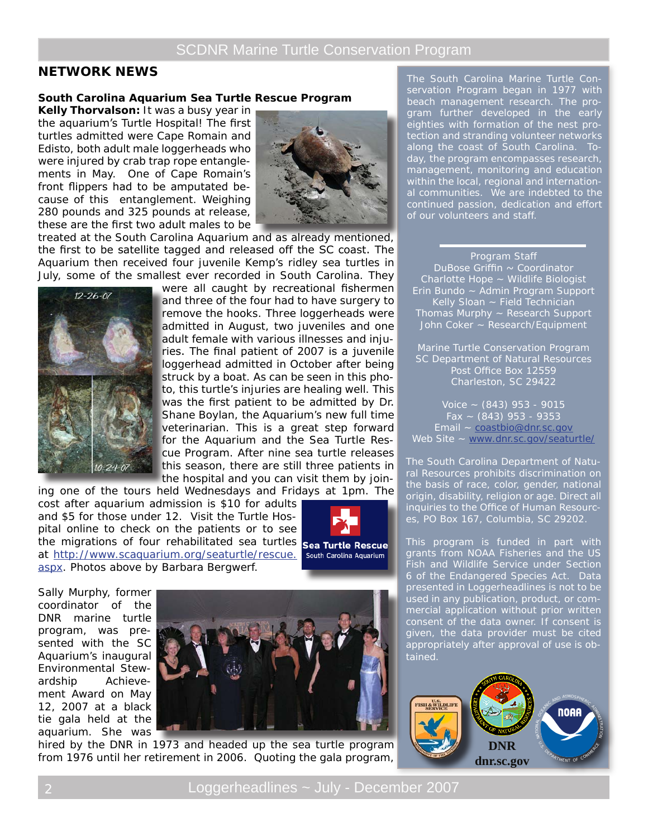# SCDNR Marine Turtle Conservation Program

## **NETWORK NEWS**

#### **South Carolina Aquarium Sea Turtle Rescue Program**

**Kelly Thorvalson:** It was a busy year in the aquarium's Turtle Hospital! The first turtles admitted were Cape Romain and Edisto, both adult male loggerheads who were injured by crab trap rope entanglements in May. One of Cape Romain's front flippers had to be amputated because of this entanglement. Weighing 280 pounds and 325 pounds at release, these are the first two adult males to be



treated at the South Carolina Aquarium and as already mentioned, the first to be satellite tagged and released off the SC coast. The Aquarium then received four juvenile Kemp's ridley sea turtles in July, some of the smallest ever recorded in South Carolina. They



were all caught by recreational fishermen and three of the four had to have surgery to remove the hooks. Three loggerheads were admitted in August, two juveniles and one adult female with various illnesses and injuries. The final patient of 2007 is a juvenile loggerhead admitted in October after being struck by a boat. As can be seen in this photo, this turtle's injuries are healing well. This was the first patient to be admitted by Dr. Shane Boylan, the Aquarium's new full time veterinarian. This is a great step forward for the Aquarium and the Sea Turtle Rescue Program. After nine sea turtle releases this season, there are still three patients in the hospital and you can visit them by join-

ing one of the tours held Wednesdays and Fridays at 1pm. The cost after aquarium admission is \$10 for adults and \$5 for those under 12. Visit the Turtle Hospital online to check on the patients or to see the migrations of four rehabilitated sea turtles **Sea Turtle Rescue** at http://www.scaquarium.org/seaturtle/rescue. aspx. Photos above by Barbara Bergwerf.



Sally Murphy, former coordinator of the DNR marine turtle program, was presented with the SC Aquarium's inaugural Environmental Stewardship Achievement Award on May 12, 2007 at a black tie gala held at the aquarium. She was



hired by the DNR in 1973 and headed up the sea turtle program from 1976 until her retirement in 2006. Quoting the gala program,

The South Carolina Marine Turtle Conservation Program began in 1977 with beach management research. The program further developed in the early eighties with formation of the nest protection and stranding volunteer networks along the coast of South Carolina. Today, the program encompasses research, management, monitoring and education within the local, regional and international communities. We are indebted to the continued passion, dedication and effort of our volunteers and staff.

## Program Staff

DuBose Griffin ~ Coordinator Charlotte Hope ~ Wildlife Biologist Erin Bundo ~ Admin Program Support Kelly Sloan ~ Field Technician Thomas Murphy ~ Research Support John Coker ~ Research/Equipment

Marine Turtle Conservation Program SC Department of Natural Resources Post Office Box 12559 Charleston, SC 29422

Voice  $\sim$  (843) 953 - 9015 Fax  $\sim$  (843) 953 - 9353 Email ~ coastbio@dnr.sc.gov Web Site ~ www.dnr.sc.gov/seaturtle/

The South Carolina Department of Natural Resources prohibits discrimination on the basis of race, color, gender, national origin, disability, religion or age. Direct all inquiries to the Office of Human Resources, PO Box 167, Columbia, SC 29202.

This program is funded in part with grants from NOAA Fisheries and the US Fish and Wildlife Service under Section 6 of the Endangered Species Act. Data presented in Loggerheadlines is not to be used in any publication, product, or commercial application without prior written consent of the data owner. If consent is given, the data provider must be cited appropriately after approval of use is obtained.

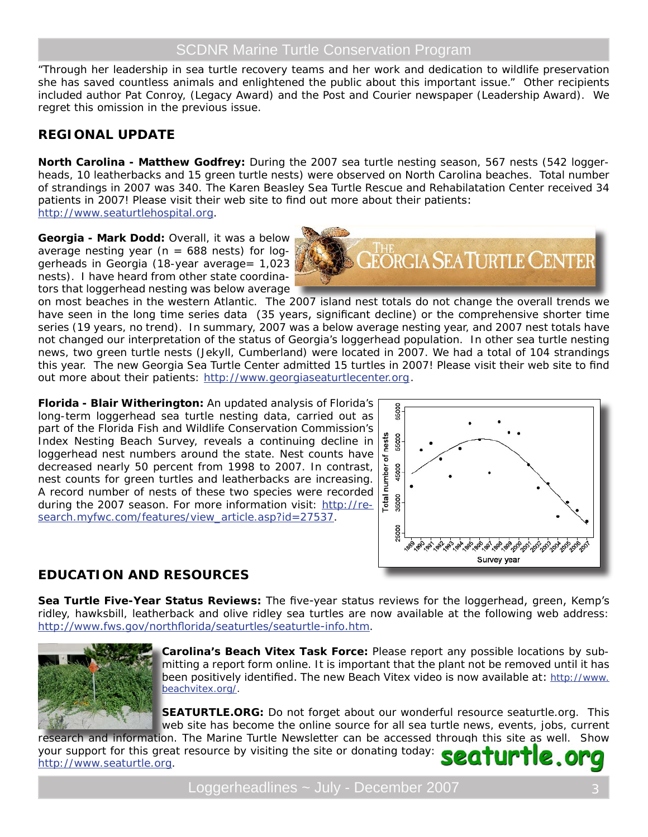# SCDNR Marine Turtle Conservation Program

"Through her leadership in sea turtle recovery teams and her work and dedication to wildlife preservation she has saved countless animals and enlightened the public about this important issue." Other recipients included author Pat Conroy, (Legacy Award) and the Post and Courier newspaper (Leadership Award). We regret this omission in the previous issue.

# **REGIONAL UPDATE**

**North Carolina - Matthew Godfrey:** During the 2007 sea turtle nesting season, 567 nests (542 loggerheads, 10 leatherbacks and 15 green turtle nests) were observed on North Carolina beaches. Total number of strandings in 2007 was 340. The Karen Beasley Sea Turtle Rescue and Rehabilatation Center received 34 patients in 2007! Please visit their web site to find out more about their patients: http://www.seaturtlehospital.org.

**Georgia - Mark Dodd:** Overall, it was a below average nesting year ( $n = 688$  nests) for loggerheads in Georgia (18-year average= 1,023 nests). I have heard from other state coordinators that loggerhead nesting was below average



on most beaches in the western Atlantic. The 2007 island nest totals do not change the overall trends we have seen in the long time series data (35 years, significant decline) or the comprehensive shorter time series (19 years, no trend). In summary, 2007 was a below average nesting year, and 2007 nest totals have not changed our interpretation of the status of Georgia's loggerhead population. In other sea turtle nesting news, two green turtle nests (Jekyll, Cumberland) were located in 2007. We had a total of 104 strandings this year. The new Georgia Sea Turtle Center admitted 15 turtles in 2007! Please visit their web site to find out more about their patients: http://www.georgiaseaturtlecenter.org.

**Florida - Blair Witherington:** An updated analysis of Florida's long-term loggerhead sea turtle nesting data, carried out as part of the Florida Fish and Wildlife Conservation Commission's Index Nesting Beach Survey, reveals a continuing decline in loggerhead nest numbers around the state. Nest counts have decreased nearly 50 percent from 1998 to 2007. In contrast, nest counts for green turtles and leatherbacks are increasing. A record number of nests of these two species were recorded during the 2007 season. For more information visit: http://research.myfwc.com/features/view\_article.asp?id=27537.



# **EDUCATION AND RESOURCES**

**Sea Turtle Five-Year Status Reviews:** The five-year status reviews for the loggerhead, green, Kemp's ridley, hawksbill, leatherback and olive ridley sea turtles are now available at the following web address: http://www.fws.gov/northflorida/seaturtles/seaturtle-info.htm.



**Carolina's Beach Vitex Task Force:** Please report any possible locations by submitting a report form online. It is important that the plant not be removed until it has been positively identified. The new Beach Vitex video is now available at: http://www. beachvitex.org/.

**SEATURTLE.ORG:** Do not forget about our wonderful resource seaturtle.org. This web site has become the online source for all sea turtle news, events, jobs, current

research and information. The Marine Turtle Newsletter can be accessed through this site as well. Show your support for this great resource by visiting the site or donating today: e.org 20T http://www.seaturtle.org.

Loggerheadlines ~ July - December 2007